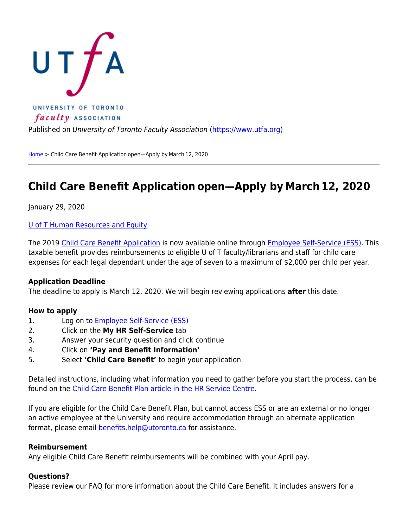

Published on University of Toronto Faculty Association ([https://www.utfa.org\)](https://www.utfa.org)

[Home](https://www.utfa.org/) > Child Care Benefit Application open-Apply by March 12, 2020

# **Child Care Benefit Application open—Apply by March 12, 2020**

January 29, 2020

[U of T Human Resources and Equity](http://www.hrandequity.utoronto.ca/)

The 2019 [Child Care Benefit Application](https://uthrprod.service-now.com/esc?id=kb_article&sys_id=06bc65e0db2a0410c45b325f9d9619d9) is now available online through [Employee Self-Service \(ESS\)](http://ess.hrandequity.utoronto.ca/). This taxable benefit provides reimbursements to eligible U of T faculty/librarians and staff for child care expenses for each legal dependant under the age of seven to a maximum of \$2,000 per child per year.

### **Application Deadline**

The deadline to apply is March 12, 2020. We will begin reviewing applications **after** this date.

### **How to apply**

- 1. Log on to **Employee Self-Service (ESS)**
- 2. Click on the **My HR Self-Service** tab
- 3. Answer your security question and click continue
- 4. Click on **'Pay and Benefit Information'**
- 5. Select **'Child Care Benefit'** to begin your application

Detailed instructions, including what information you need to gather before you start the process, can be found on the [Child Care Benefit Plan article in the HR Service Centre](https://uthrprod.service-now.com/esc?id=kb_article&sys_id=f2bac121dba64c10c45b325f9d96193b).

If you are eligible for the Child Care Benefit Plan, but cannot access ESS or are an external or no longer an active employee at the University and require accommodation through an alternate application format, please email **benefits.help@utoronto.ca** for assistance.

### **Reimbursement**

Any eligible Child Care Benefit reimbursements will be combined with your April pay.

### **Questions?**

Please review our FAQ for more information about the Child Care Benefit. It includes answers for a